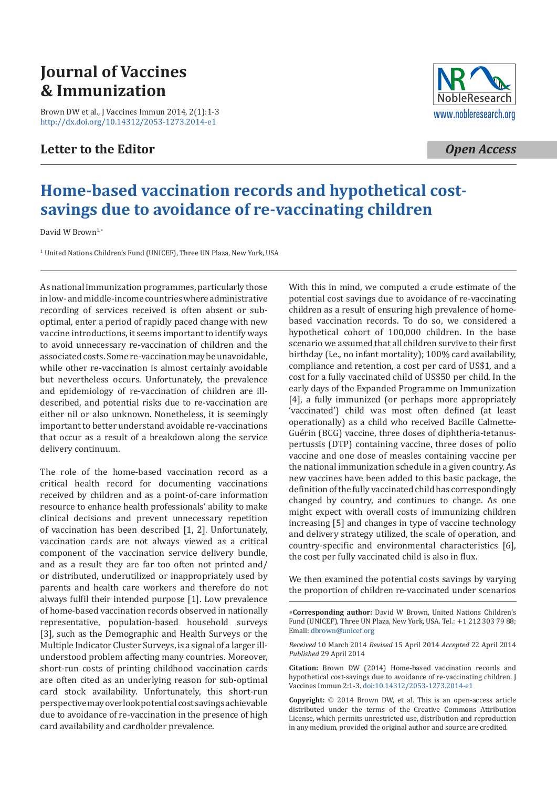# **Journal of Vaccines & Immunization**

[Brown DW et al., J Vaccines Immun 2014, 2\(1\):1-3](http://dx.doi.org/10.14312/2053-1273.2014-e1) http://dx.doi.org/10.14312/2053-1273.2014-e1

### **Letter to the Editor**



*Open Access*

## **Home-based vaccination records and hypothetical costsavings due to avoidance of re-vaccinating children**

David W Brown<sup>1,\*</sup>

<sup>1</sup> United Nations Children's Fund (UNICEF), Three UN Plaza, New York, USA

As national immunization programmes, particularly those in low- and middle-income countries where administrative recording of services received is often absent or suboptimal, enter a period of rapidly paced change with new vaccine introductions, it seems important to identify ways to avoid unnecessary re-vaccination of children and the associated costs. Some re-vaccination may be unavoidable, while other re-vaccination is almost certainly avoidable but nevertheless occurs. Unfortunately, the prevalence and epidemiology of re-vaccination of children are illdescribed, and potential risks due to re-vaccination are either nil or also unknown. Nonetheless, it is seemingly important to better understand avoidable re-vaccinations that occur as a result of a breakdown along the service delivery continuum.

The role of the home-based vaccination record as a critical health record for documenting vaccinations received by children and as a point-of-care information resource to enhance health professionals' ability to make clinical decisions and prevent unnecessary repetition of vaccination has been described [1, 2]. Unfortunately, vaccination cards are not always viewed as a critical component of the vaccination service delivery bundle, and as a result they are far too often not printed and/ or distributed, underutilized or inappropriately used by parents and health care workers and therefore do not always fulfil their intended purpose [1]. Low prevalence of home-based vaccination records observed in nationally representative, population-based household surveys [3], such as the Demographic and Health Surveys or the Multiple Indicator Cluster Surveys, is a signal of a larger illunderstood problem affecting many countries. Moreover, short-run costs of printing childhood vaccination cards are often cited as an underlying reason for sub-optimal card stock availability. Unfortunately, this short-run perspective may overlook potential cost savings achievable due to avoidance of re-vaccination in the presence of high card availability and cardholder prevalence.

With this in mind, we computed a crude estimate of the potential cost savings due to avoidance of re-vaccinating children as a result of ensuring high prevalence of homebased vaccination records. To do so, we considered a hypothetical cohort of 100,000 children. In the base scenario we assumed that all children survive to their first birthday (i.e., no infant mortality); 100% card availability, compliance and retention, a cost per card of US\$1, and a cost for a fully vaccinated child of US\$50 per child. In the early days of the Expanded Programme on Immunization [4], a fully immunized (or perhaps more appropriately 'vaccinated') child was most often defined (at least operationally) as a child who received Bacille Calmette-Guérin (BCG) vaccine, three doses of diphtheria-tetanuspertussis (DTP) containing vaccine, three doses of polio vaccine and one dose of measles containing vaccine per the national immunization schedule in a given country. As new vaccines have been added to this basic package, the definition of the fully vaccinated child has correspondingly changed by country, and continues to change. As one might expect with overall costs of immunizing children increasing [5] and changes in type of vaccine technology and delivery strategy utilized, the scale of operation, and country-specific and environmental characteristics [6], the cost per fully vaccinated child is also in flux.

We then examined the potential costs savings by varying the proportion of children re-vaccinated under scenarios

**Corresponding author:** David W Brown, United Nations Children's Fund ([UNICEF\), Three UN P](mailto:dbrown@unicef.org)laza, New York, USA. Tel.: +1 212 303 79 88; Email: dbrown@unicef.org

*Received* 10 March 2014 *Revised* 15 April 2014 *Accepted* 22 April 2014 *Published* 29 April 2014

**Citation:** Brown DW (2014) Home-based vaccination records and hypothetical cost-savi[ngs due to avoidance of re-vaccinati](http://dx.doi.org/10.14312/2053-1273.2014-e1)ng children. J Vaccines Immun 2:1-3. doi:10.14312/2053-1273.2014-e1

**Copyright:** 2014 Brown DW, et al. This is an open-access article distributed under the terms of the Creative Commons Attribution License, which permits unrestricted use, distribution and reproduction in any medium, provided the original author and source are credited.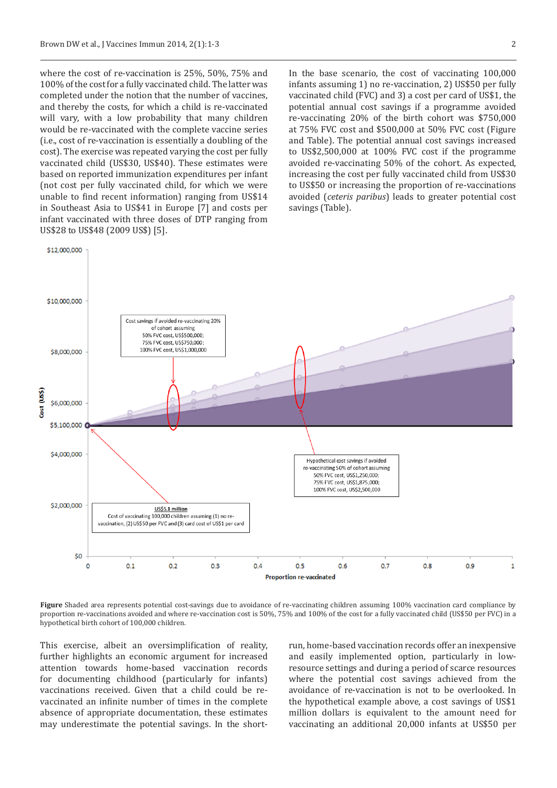where the cost of re-vaccination is 25%, 50%, 75% and 100% of the cost for a fully vaccinated child. The latter was completed under the notion that the number of vaccines, and thereby the costs, for which a child is re-vaccinated will vary, with a low probability that many children would be re-vaccinated with the complete vaccine series (i.e., cost of re-vaccination is essentially a doubling of the cost). The exercise was repeated varying the cost per fully vaccinated child (US\$30, US\$40). These estimates were based on reported immunization expenditures per infant (not cost per fully vaccinated child, for which we were unable to find recent information) ranging from US\$14 in Southeast Asia to US\$41 in Europe [7] and costs per infant vaccinated with three doses of DTP ranging from US\$28 to US\$48 (2009 US\$) [5].

In the base scenario, the cost of vaccinating 100,000 infants assuming 1) no re-vaccination, 2) US\$50 per fully vaccinated child (FVC) and 3) a cost per card of US\$1, the potential annual cost savings if a programme avoided re-vaccinating 20% of the birth cohort was \$750,000 at 75% FVC cost and \$500,000 at 50% FVC cost (Figure and Table). The potential annual cost savings increased to US\$2,500,000 at 100% FVC cost if the programme avoided re-vaccinating 50% of the cohort. As expected, increasing the cost per fully vaccinated child from US\$30 to US\$50 or increasing the proportion of re-vaccinations avoided (*ceteris paribus*) leads to greater potential cost savings (Table).



**Figure** Shaded area represents potential cost-savings due to avoidance of re-vaccinating children assuming 100% vaccination card compliance by proportion re-vaccinations avoided and where re-vaccination cost is 50%, 75% and 100% of the cost for a fully vaccinated child (US\$50 per FVC) in a hypothetical birth cohort of 100,000 children.

This exercise, albeit an oversimplification of reality, further highlights an economic argument for increased attention towards home-based vaccination records for documenting childhood (particularly for infants) vaccinations received. Given that a child could be revaccinated an infinite number of times in the complete absence of appropriate documentation, these estimates may underestimate the potential savings. In the shortrun, home-based vaccination records offer an inexpensive and easily implemented option, particularly in lowresource settings and during a period of scarce resources where the potential cost savings achieved from the avoidance of re-vaccination is not to be overlooked. In the hypothetical example above, a cost savings of US\$1 million dollars is equivalent to the amount need for vaccinating an additional 20,000 infants at US\$50 per